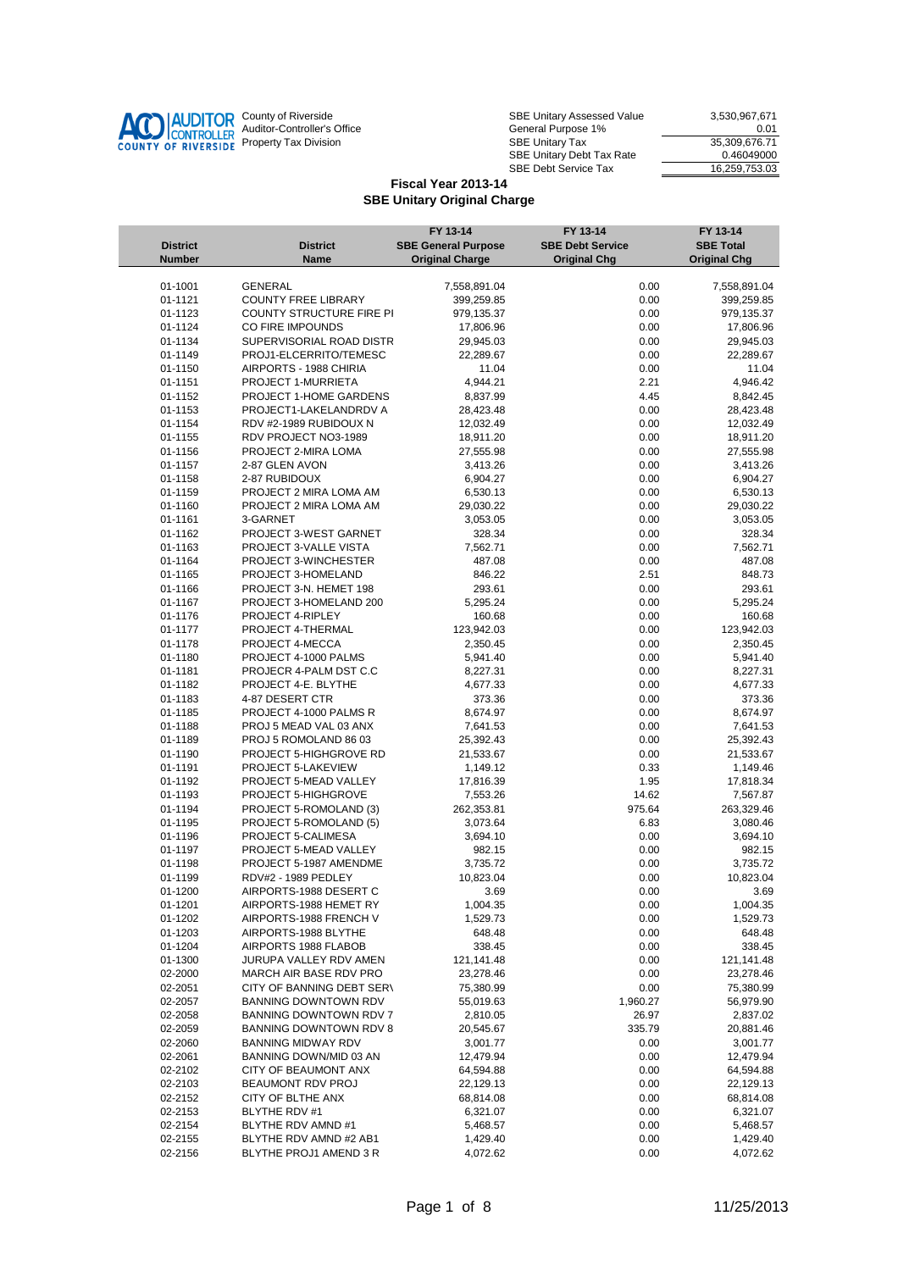

| County of Riverside         | SBE Unitary Assessed Value              | 3.530.967.671 |
|-----------------------------|-----------------------------------------|---------------|
| Auditor-Controller's Office | General Purpose 1%                      | 0.01          |
| Property Tax Division       | 35.309.676.71<br><b>SBE Unitary Tax</b> |               |
|                             | <b>SBE Unitary Debt Tax Rate</b>        | 0.46049000    |
|                             | <b>SBE Debt Service Tax</b>             | 16,259,753.03 |

|                    |                                                     | FY 13-14                   | FY 13-14                | FY 13-14                   |
|--------------------|-----------------------------------------------------|----------------------------|-------------------------|----------------------------|
| <b>District</b>    | <b>District</b>                                     | <b>SBE General Purpose</b> | <b>SBE Debt Service</b> | <b>SBE Total</b>           |
| <b>Number</b>      | Name                                                | <b>Original Charge</b>     | <b>Original Chg</b>     | <b>Original Chg</b>        |
| 01-1001            | GENERAL                                             |                            | 0.00                    |                            |
| 01-1121            | <b>COUNTY FREE LIBRARY</b>                          | 7,558,891.04<br>399,259.85 | 0.00                    | 7,558,891.04<br>399,259.85 |
| 01-1123            | COUNTY STRUCTURE FIRE PI                            | 979,135.37                 | 0.00                    | 979,135.37                 |
| 01-1124            | CO FIRE IMPOUNDS                                    | 17,806.96                  | 0.00                    | 17,806.96                  |
| 01-1134            | SUPERVISORIAL ROAD DISTR                            | 29,945.03                  | 0.00                    | 29,945.03                  |
| 01-1149            | PROJ1-ELCERRITO/TEMESC                              | 22,289.67                  | 0.00                    | 22,289.67                  |
| 01-1150            | AIRPORTS - 1988 CHIRIA                              | 11.04                      | 0.00                    | 11.04                      |
| 01-1151            | PROJECT 1-MURRIETA                                  | 4,944.21                   | 2.21                    | 4,946.42                   |
| 01-1152            | PROJECT 1-HOME GARDENS                              | 8,837.99                   | 4.45                    | 8,842.45                   |
| 01-1153            | PROJECT1-LAKELANDRDV A                              | 28,423.48                  | 0.00                    | 28,423.48                  |
| 01-1154            | RDV #2-1989 RUBIDOUX N                              | 12,032.49                  | 0.00                    | 12,032.49                  |
| 01-1155            | RDV PROJECT NO3-1989                                | 18,911.20                  | 0.00                    | 18,911.20                  |
| 01-1156            | PROJECT 2-MIRA LOMA                                 | 27,555.98                  | 0.00                    | 27,555.98                  |
| 01-1157            | 2-87 GLEN AVON                                      | 3,413.26                   | 0.00                    | 3,413.26                   |
| 01-1158            | 2-87 RUBIDOUX                                       | 6,904.27                   | 0.00                    | 6,904.27                   |
| 01-1159            | PROJECT 2 MIRA LOMA AM                              | 6,530.13                   | 0.00                    | 6,530.13                   |
| 01-1160            | PROJECT 2 MIRA LOMA AM<br>3-GARNET                  | 29,030.22                  | 0.00                    | 29,030.22                  |
| 01-1161<br>01-1162 | PROJECT 3-WEST GARNET                               | 3,053.05<br>328.34         | 0.00<br>0.00            | 3,053.05<br>328.34         |
| 01-1163            | PROJECT 3-VALLE VISTA                               | 7,562.71                   | 0.00                    | 7,562.71                   |
| 01-1164            | PROJECT 3-WINCHESTER                                | 487.08                     | 0.00                    | 487.08                     |
| 01-1165            | PROJECT 3-HOMELAND                                  | 846.22                     | 2.51                    | 848.73                     |
| 01-1166            | PROJECT 3-N. HEMET 198                              | 293.61                     | 0.00                    | 293.61                     |
| 01-1167            | PROJECT 3-HOMELAND 200                              | 5,295.24                   | 0.00                    | 5,295.24                   |
| 01-1176            | PROJECT 4-RIPLEY                                    | 160.68                     | 0.00                    | 160.68                     |
| 01-1177            | PROJECT 4-THERMAL                                   | 123,942.03                 | 0.00                    | 123,942.03                 |
| 01-1178            | PROJECT 4-MECCA                                     | 2,350.45                   | 0.00                    | 2,350.45                   |
| 01-1180            | PROJECT 4-1000 PALMS                                | 5,941.40                   | 0.00                    | 5,941.40                   |
| 01-1181            | PROJECR 4-PALM DST C.C                              | 8,227.31                   | 0.00                    | 8,227.31                   |
| 01-1182            | PROJECT 4-E. BLYTHE                                 | 4,677.33                   | 0.00                    | 4,677.33                   |
| 01-1183            | 4-87 DESERT CTR                                     | 373.36                     | 0.00                    | 373.36                     |
| 01-1185            | PROJECT 4-1000 PALMS R                              | 8,674.97                   | 0.00                    | 8,674.97                   |
| 01-1188            | PROJ 5 MEAD VAL 03 ANX                              | 7,641.53                   | 0.00                    | 7,641.53                   |
| 01-1189<br>01-1190 | PROJ 5 ROMOLAND 86 03<br>PROJECT 5-HIGHGROVE RD     | 25,392.43<br>21,533.67     | 0.00<br>0.00            | 25,392.43<br>21,533.67     |
| 01-1191            | PROJECT 5-LAKEVIEW                                  | 1,149.12                   | 0.33                    | 1,149.46                   |
| 01-1192            | PROJECT 5-MEAD VALLEY                               | 17,816.39                  | 1.95                    | 17,818.34                  |
| 01-1193            | PROJECT 5-HIGHGROVE                                 | 7,553.26                   | 14.62                   | 7,567.87                   |
| 01-1194            | PROJECT 5-ROMOLAND (3)                              | 262,353.81                 | 975.64                  | 263,329.46                 |
| 01-1195            | PROJECT 5-ROMOLAND (5)                              | 3,073.64                   | 6.83                    | 3,080.46                   |
| 01-1196            | PROJECT 5-CALIMESA                                  | 3,694.10                   | 0.00                    | 3,694.10                   |
| 01-1197            | PROJECT 5-MEAD VALLEY                               | 982.15                     | 0.00                    | 982.15                     |
| 01-1198            | PROJECT 5-1987 AMENDME                              | 3,735.72                   | 0.00                    | 3,735.72                   |
| 01-1199            | RDV#2 - 1989 PEDLEY                                 | 10,823.04                  | 0.00                    | 10,823.04                  |
| 01-1200            | AIRPORTS-1988 DESERT C                              | 3.69                       | 0.00                    | 3.69                       |
| 01-1201            | AIRPORTS-1988 HEMET RY                              | 1,004.35                   | 0.00                    | 1,004.35                   |
| 01-1202            | AIRPORTS-1988 FRENCH V                              | 1,529.73                   | 0.00                    | 1,529.73                   |
| 01-1203            | AIRPORTS-1988 BLYTHE                                | 648.48                     | 0.00                    | 648.48                     |
| 01-1204            | AIRPORTS 1988 FLABOB                                | 338.45                     | 0.00                    | 338.45                     |
| 01-1300            | JURUPA VALLEY RDV AMEN                              | 121,141.48                 | 0.00                    | 121,141.48                 |
| 02-2000<br>02-2051 | MARCH AIR BASE RDV PRO<br>CITY OF BANNING DEBT SERV | 23,278.46<br>75,380.99     | 0.00<br>0.00            | 23,278.46<br>75,380.99     |
| 02-2057            | <b>BANNING DOWNTOWN RDV</b>                         | 55,019.63                  | 1,960.27                | 56,979.90                  |
| 02-2058            | BANNING DOWNTOWN RDV 7                              | 2,810.05                   | 26.97                   | 2,837.02                   |
| 02-2059            | <b>BANNING DOWNTOWN RDV 8</b>                       | 20,545.67                  | 335.79                  | 20,881.46                  |
| 02-2060            | <b>BANNING MIDWAY RDV</b>                           | 3,001.77                   | 0.00                    | 3,001.77                   |
| 02-2061            | BANNING DOWN/MID 03 AN                              | 12,479.94                  | 0.00                    | 12,479.94                  |
| 02-2102            | CITY OF BEAUMONT ANX                                | 64,594.88                  | 0.00                    | 64,594.88                  |
| 02-2103            | BEAUMONT RDV PROJ                                   | 22,129.13                  | 0.00                    | 22,129.13                  |
| 02-2152            | CITY OF BLTHE ANX                                   | 68,814.08                  | 0.00                    | 68,814.08                  |
| 02-2153            | BLYTHE RDV #1                                       | 6,321.07                   | 0.00                    | 6,321.07                   |
| 02-2154            | BLYTHE RDV AMND #1                                  | 5,468.57                   | 0.00                    | 5,468.57                   |
| 02-2155            | BLYTHE RDV AMND #2 AB1                              | 1,429.40                   | 0.00                    | 1,429.40                   |
| 02-2156            | BLYTHE PROJ1 AMEND 3 R                              | 4,072.62                   | 0.00                    | 4,072.62                   |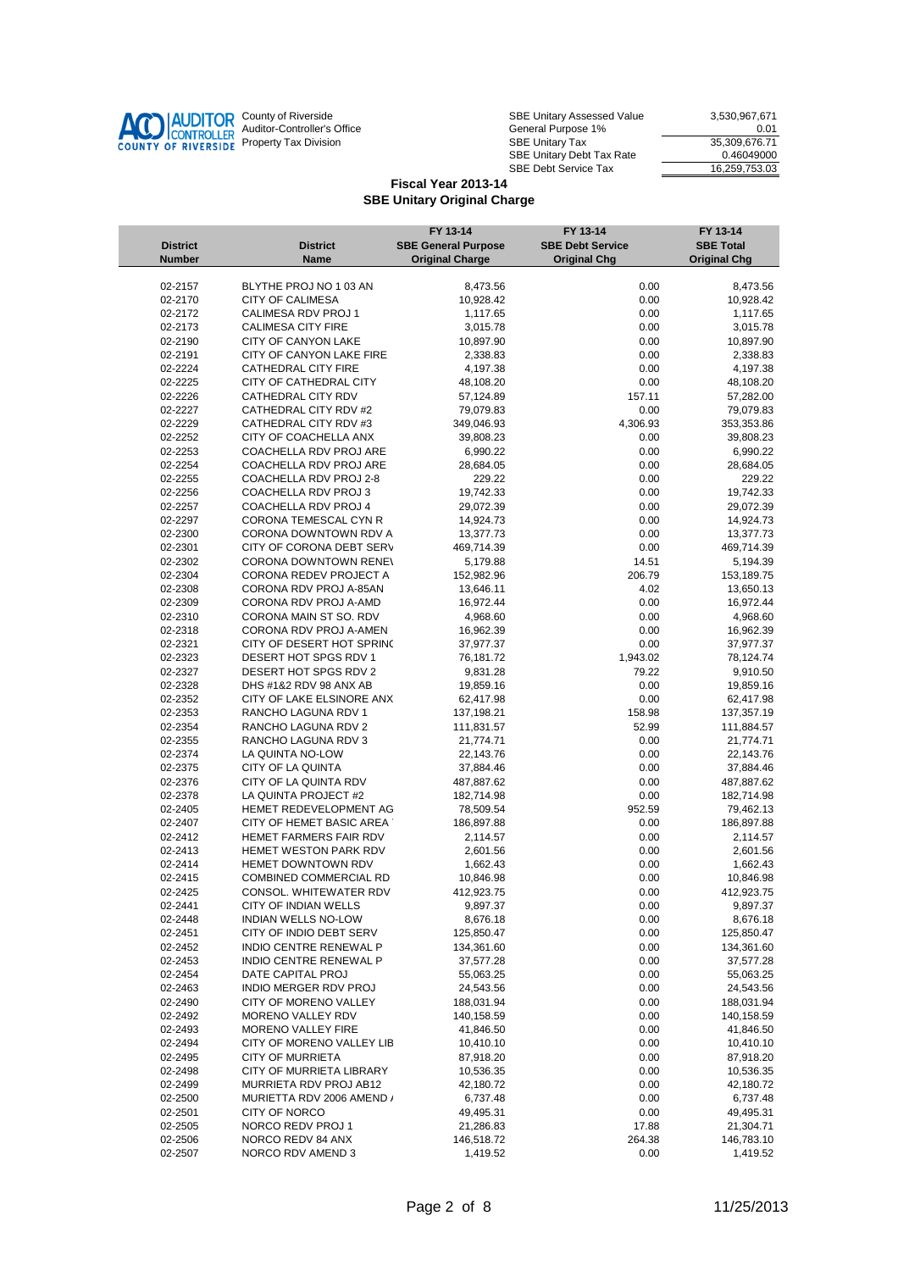

| County of Riverside         | <b>SBE Unitary Assessed Value</b>       | 3.530.967.671 |
|-----------------------------|-----------------------------------------|---------------|
| Auditor-Controller's Office | General Purpose 1%                      | 0.01          |
| Property Tax Division       | 35.309.676.71<br><b>SBE Unitary Tax</b> |               |
|                             | SBE Unitary Debt Tax Rate               | 0.46049000    |
|                             | <b>SBE Debt Service Tax</b>             | 16.259.753.03 |

|                 |                            | FY 13-14                   | FY 13-14                | FY 13-14            |
|-----------------|----------------------------|----------------------------|-------------------------|---------------------|
| <b>District</b> | <b>District</b>            | <b>SBE General Purpose</b> | <b>SBE Debt Service</b> | <b>SBE Total</b>    |
| <b>Number</b>   | Name                       | <b>Original Charge</b>     | <b>Original Chg</b>     | <b>Original Chg</b> |
|                 |                            |                            |                         |                     |
| 02-2157         | BLYTHE PROJ NO 1 03 AN     | 8,473.56                   | 0.00                    | 8,473.56            |
| 02-2170         | <b>CITY OF CALIMESA</b>    | 10,928.42                  | 0.00                    | 10,928.42           |
| 02-2172         | CALIMESA RDV PROJ 1        | 1,117.65                   | 0.00                    | 1,117.65            |
| 02-2173         | <b>CALIMESA CITY FIRE</b>  | 3,015.78                   | 0.00                    | 3,015.78            |
| 02-2190         | CITY OF CANYON LAKE        | 10,897.90                  | 0.00                    | 10,897.90           |
| 02-2191         | CITY OF CANYON LAKE FIRE   | 2,338.83                   | 0.00                    | 2,338.83            |
| 02-2224         | CATHEDRAL CITY FIRE        | 4,197.38                   | 0.00                    | 4,197.38            |
| 02-2225         | CITY OF CATHEDRAL CITY     | 48,108.20                  | 0.00                    | 48,108.20           |
| 02-2226         | CATHEDRAL CITY RDV         | 57,124.89                  | 157.11                  | 57,282.00           |
| 02-2227         | CATHEDRAL CITY RDV #2      | 79,079.83                  | 0.00                    | 79,079.83           |
| 02-2229         | CATHEDRAL CITY RDV #3      | 349,046.93                 | 4,306.93                | 353,353.86          |
| 02-2252         | CITY OF COACHELLA ANX      | 39,808.23                  | 0.00                    | 39,808.23           |
| 02-2253         | COACHELLA RDV PROJ ARE     | 6,990.22                   | 0.00                    | 6,990.22            |
| 02-2254         | COACHELLA RDV PROJ ARE     | 28,684.05                  | 0.00                    | 28,684.05           |
| 02-2255         | COACHELLA RDV PROJ 2-8     | 229.22                     | 0.00                    | 229.22              |
| 02-2256         | COACHELLA RDV PROJ 3       | 19,742.33                  | 0.00                    | 19,742.33           |
| 02-2257         | COACHELLA RDV PROJ 4       | 29,072.39                  | 0.00                    | 29,072.39           |
| 02-2297         | CORONA TEMESCAL CYN R      | 14,924.73                  | 0.00                    | 14,924.73           |
| 02-2300         | CORONA DOWNTOWN RDV A      | 13,377.73                  | 0.00                    | 13,377.73           |
| 02-2301         | CITY OF CORONA DEBT SERV   | 469,714.39                 | 0.00                    | 469,714.39          |
| 02-2302         | CORONA DOWNTOWN RENEV      | 5,179.88                   | 14.51                   | 5,194.39            |
| 02-2304         | CORONA REDEV PROJECT A     | 152,982.96                 | 206.79                  | 153,189.75          |
| 02-2308         | CORONA RDV PROJ A-85AN     | 13,646.11                  | 4.02                    | 13,650.13           |
| 02-2309         | CORONA RDV PROJ A-AMD      | 16,972.44                  | 0.00                    | 16,972.44           |
| 02-2310         | CORONA MAIN ST SO. RDV     | 4,968.60                   | 0.00                    | 4,968.60            |
| 02-2318         | CORONA RDV PROJ A-AMEN     | 16,962.39                  | 0.00                    | 16,962.39           |
| 02-2321         | CITY OF DESERT HOT SPRINC  | 37,977.37                  | 0.00                    | 37,977.37           |
| 02-2323         | DESERT HOT SPGS RDV 1      | 76,181.72                  | 1,943.02                | 78,124.74           |
| 02-2327         | DESERT HOT SPGS RDV 2      | 9,831.28                   | 79.22                   | 9,910.50            |
| 02-2328         | DHS #1&2 RDV 98 ANX AB     | 19,859.16                  | 0.00                    | 19,859.16           |
| 02-2352         | CITY OF LAKE ELSINORE ANX  | 62,417.98                  | 0.00                    | 62,417.98           |
| 02-2353         | RANCHO LAGUNA RDV 1        | 137,198.21                 | 158.98                  | 137,357.19          |
| 02-2354         | RANCHO LAGUNA RDV 2        | 111,831.57                 | 52.99                   | 111,884.57          |
| 02-2355         | RANCHO LAGUNA RDV 3        | 21,774.71                  | 0.00                    | 21,774.71           |
| 02-2374         | LA QUINTA NO-LOW           | 22,143.76                  | 0.00                    | 22,143.76           |
| 02-2375         | CITY OF LA QUINTA          | 37,884.46                  | 0.00                    | 37,884.46           |
| 02-2376         | CITY OF LA QUINTA RDV      | 487,887.62                 | 0.00                    | 487,887.62          |
| 02-2378         | LA QUINTA PROJECT #2       | 182,714.98                 | 0.00                    | 182,714.98          |
| 02-2405         | HEMET REDEVELOPMENT AG     | 78,509.54                  | 952.59                  | 79,462.13           |
| 02-2407         | CITY OF HEMET BASIC AREA : | 186,897.88                 | 0.00                    | 186,897.88          |
| 02-2412         | HEMET FARMERS FAIR RDV     | 2,114.57                   | 0.00                    | 2,114.57            |
| 02-2413         | HEMET WESTON PARK RDV      | 2,601.56                   | 0.00                    | 2,601.56            |
| 02-2414         | HEMET DOWNTOWN RDV         | 1,662.43                   | 0.00                    | 1,662.43            |
| 02-2415         | COMBINED COMMERCIAL RD     | 10,846.98                  | 0.00                    | 10,846.98           |
| 02-2425         | CONSOL. WHITEWATER RDV     | 412,923.75                 | 0.00                    | 412,923.75          |
| 02-2441         | CITY OF INDIAN WELLS       | 9,897.37                   | 0.00                    | 9,897.37            |
| 02-2448         | INDIAN WELLS NO-LOW        | 8,676.18                   | 0.00                    | 8,676.18            |
| 02-2451         | CITY OF INDIO DEBT SERV    | 125,850.47                 | 0.00                    | 125,850.47          |
| 02-2452         | INDIO CENTRE RENEWAL P     | 134,361.60                 | 0.00                    | 134,361.60          |
| 02-2453         | INDIO CENTRE RENEWAL P     | 37,577.28                  | 0.00                    | 37,577.28           |
| 02-2454         | DATE CAPITAL PROJ          | 55,063.25                  | 0.00                    | 55,063.25           |
| 02-2463         | INDIO MERGER RDV PROJ      | 24,543.56                  | 0.00                    | 24,543.56           |
| 02-2490         | CITY OF MORENO VALLEY      | 188,031.94                 | 0.00                    | 188,031.94          |
| 02-2492         | MORENO VALLEY RDV          | 140,158.59                 | 0.00                    | 140,158.59          |
| 02-2493         | MORENO VALLEY FIRE         | 41,846.50                  | 0.00                    | 41,846.50           |
| 02-2494         | CITY OF MORENO VALLEY LIB  | 10,410.10                  | 0.00                    | 10,410.10           |
| 02-2495         | <b>CITY OF MURRIETA</b>    | 87,918.20                  | 0.00                    | 87,918.20           |
| 02-2498         | CITY OF MURRIETA LIBRARY   | 10,536.35                  | 0.00                    | 10,536.35           |
| 02-2499         | MURRIETA RDV PROJ AB12     | 42,180.72                  | 0.00                    | 42,180.72           |
| 02-2500         | MURIETTA RDV 2006 AMEND /  | 6,737.48                   | 0.00                    | 6,737.48            |
| 02-2501         | CITY OF NORCO              | 49,495.31                  | 0.00                    | 49,495.31           |
| 02-2505         | NORCO REDV PROJ 1          | 21,286.83                  | 17.88                   | 21,304.71           |
| 02-2506         | NORCO REDV 84 ANX          | 146,518.72                 | 264.38                  | 146,783.10          |
| 02-2507         | NORCO RDV AMEND 3          | 1,419.52                   | 0.00                    | 1,419.52            |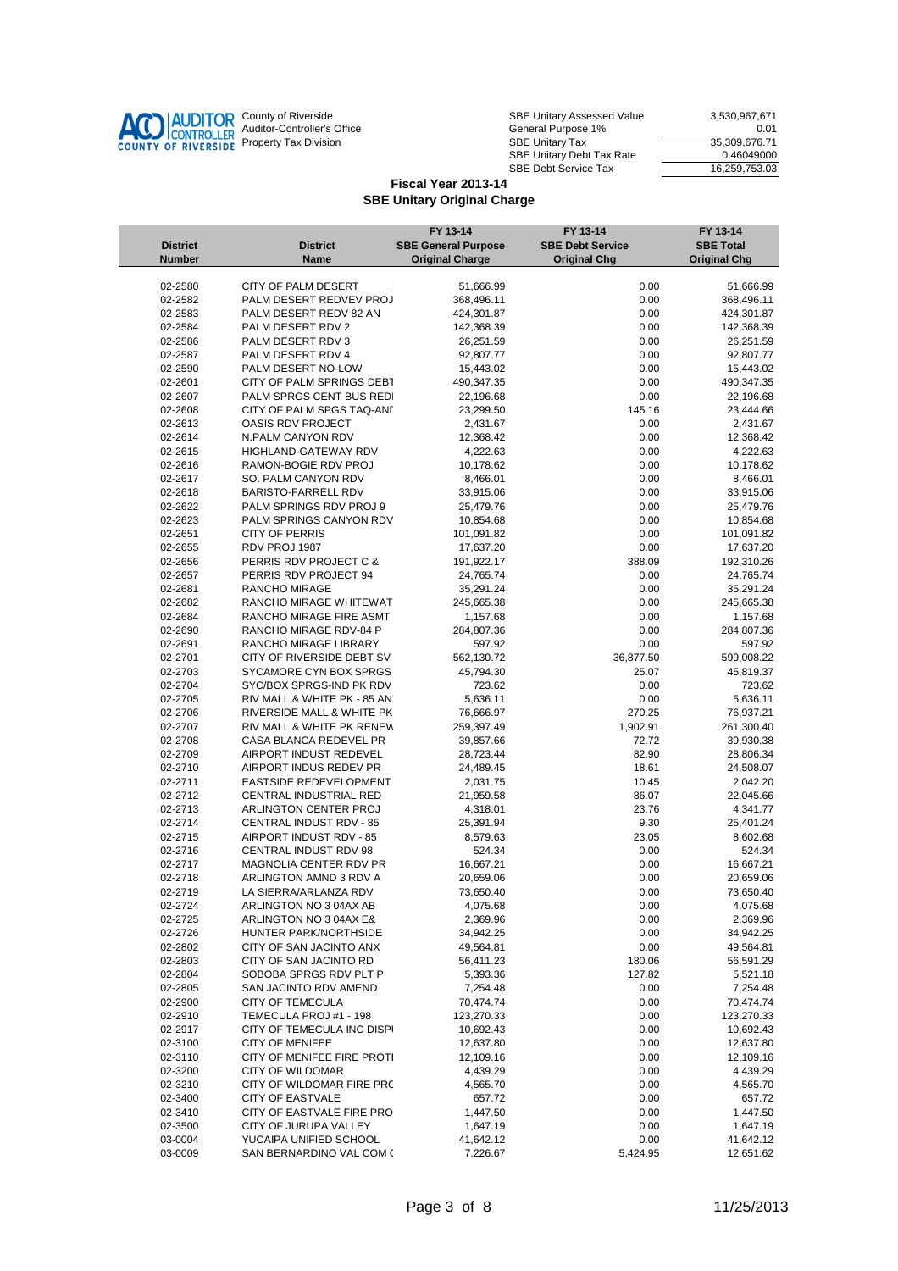

| County of Riverside         | SBE Unitary Assessed Value              | 3.530.967.671 |
|-----------------------------|-----------------------------------------|---------------|
| Auditor-Controller's Office | General Purpose 1%                      | 0.01          |
| Property Tax Division       | 35.309.676.71<br><b>SBE Unitary Tax</b> |               |
|                             | <b>SBE Unitary Debt Tax Rate</b>        | 0.46049000    |
|                             | <b>SBE Debt Service Tax</b>             | 16,259,753.03 |

|                    |                                                     | FY 13-14                   | FY 13-14                | FY 13-14                |
|--------------------|-----------------------------------------------------|----------------------------|-------------------------|-------------------------|
| <b>District</b>    | <b>District</b>                                     | <b>SBE General Purpose</b> | <b>SBE Debt Service</b> | <b>SBE Total</b>        |
| <b>Number</b>      | Name                                                | <b>Original Charge</b>     | <b>Original Chg</b>     | <b>Original Chg</b>     |
|                    |                                                     |                            |                         |                         |
| 02-2580            | CITY OF PALM DESERT                                 | 51,666.99                  | 0.00                    | 51,666.99               |
| 02-2582            | PALM DESERT REDVEV PROJ                             | 368,496.11                 | 0.00                    | 368,496.11              |
| 02-2583            | PALM DESERT REDV 82 AN                              | 424,301.87                 | 0.00                    | 424,301.87              |
| 02-2584            | PALM DESERT RDV 2                                   | 142,368.39                 | 0.00                    | 142,368.39              |
| 02-2586            | PALM DESERT RDV 3                                   | 26,251.59                  | 0.00                    | 26,251.59               |
| 02-2587            | PALM DESERT RDV 4                                   | 92,807.77                  | 0.00                    | 92,807.77               |
| 02-2590            | PALM DESERT NO-LOW                                  | 15,443.02                  | 0.00                    | 15,443.02               |
| 02-2601            | CITY OF PALM SPRINGS DEBT                           | 490,347.35                 | 0.00                    | 490,347.35              |
| 02-2607            | PALM SPRGS CENT BUS REDI                            | 22,196.68                  | 0.00                    | 22,196.68               |
| 02-2608            | CITY OF PALM SPGS TAQ-AND                           | 23,299.50                  | 145.16                  | 23,444.66               |
| 02-2613            | OASIS RDV PROJECT                                   | 2,431.67                   | 0.00                    | 2,431.67                |
| 02-2614            | N.PALM CANYON RDV                                   | 12,368.42                  | 0.00                    | 12,368.42               |
| 02-2615            | HIGHLAND-GATEWAY RDV                                | 4,222.63                   | 0.00                    | 4,222.63                |
| 02-2616            | RAMON-BOGIE RDV PROJ                                | 10,178.62                  | 0.00                    | 10,178.62               |
| 02-2617            | SO. PALM CANYON RDV                                 | 8,466.01                   | 0.00                    | 8,466.01                |
| 02-2618            | <b>BARISTO-FARRELL RDV</b>                          | 33,915.06                  | 0.00                    | 33,915.06               |
| 02-2622            | PALM SPRINGS RDV PROJ 9                             | 25,479.76                  | 0.00                    | 25,479.76               |
| 02-2623            | PALM SPRINGS CANYON RDV<br><b>CITY OF PERRIS</b>    | 10,854.68<br>101,091.82    | 0.00                    | 10,854.68               |
| 02-2651            |                                                     |                            | 0.00                    | 101,091.82              |
| 02-2655            | RDV PROJ 1987                                       | 17,637.20                  | 0.00                    | 17,637.20               |
| 02-2656            | PERRIS RDV PROJECT C &                              | 191,922.17                 | 388.09                  | 192,310.26              |
| 02-2657            | PERRIS RDV PROJECT 94<br><b>RANCHO MIRAGE</b>       | 24,765.74                  | 0.00                    | 24,765.74               |
| 02-2681<br>02-2682 |                                                     | 35,291.24                  | 0.00                    | 35,291.24               |
|                    | RANCHO MIRAGE WHITEWAT                              | 245,665.38                 | 0.00                    | 245,665.38              |
| 02-2684            | RANCHO MIRAGE FIRE ASMT                             | 1,157.68                   | 0.00                    | 1,157.68                |
| 02-2690            | RANCHO MIRAGE RDV-84 P                              | 284,807.36                 | 0.00                    | 284,807.36              |
| 02-2691            | RANCHO MIRAGE LIBRARY                               | 597.92                     | 0.00                    | 597.92                  |
| 02-2701            | CITY OF RIVERSIDE DEBT SV<br>SYCAMORE CYN BOX SPRGS | 562,130.72                 | 36,877.50               | 599,008.22              |
| 02-2703<br>02-2704 | SYC/BOX SPRGS-IND PK RDV                            | 45,794.30<br>723.62        | 25.07                   | 45,819.37<br>723.62     |
| 02-2705            | RIV MALL & WHITE PK - 85 AN.                        | 5,636.11                   | 0.00<br>0.00            | 5,636.11                |
| 02-2706            | RIVERSIDE MALL & WHITE PK                           | 76,666.97                  | 270.25                  |                         |
| 02-2707            | RIV MALL & WHITE PK RENEW                           | 259,397.49                 | 1,902.91                | 76,937.21<br>261,300.40 |
| 02-2708            | CASA BLANCA REDEVEL PR                              | 39,857.66                  | 72.72                   | 39,930.38               |
| 02-2709            | AIRPORT INDUST REDEVEL                              | 28,723.44                  | 82.90                   | 28,806.34               |
| 02-2710            | AIRPORT INDUS REDEV PR                              | 24,489.45                  | 18.61                   | 24,508.07               |
| 02-2711            | EASTSIDE REDEVELOPMENT                              | 2,031.75                   | 10.45                   | 2,042.20                |
| 02-2712            | CENTRAL INDUSTRIAL RED                              | 21,959.58                  | 86.07                   | 22,045.66               |
| 02-2713            | ARLINGTON CENTER PROJ                               | 4,318.01                   | 23.76                   | 4,341.77                |
| 02-2714            | CENTRAL INDUST RDV - 85                             | 25,391.94                  | 9.30                    | 25,401.24               |
| 02-2715            | AIRPORT INDUST RDV - 85                             | 8,579.63                   | 23.05                   | 8,602.68                |
| 02-2716            | CENTRAL INDUST RDV 98                               | 524.34                     | 0.00                    | 524.34                  |
| 02-2717            | MAGNOLIA CENTER RDV PR                              | 16,667.21                  | 0.00                    | 16,667.21               |
| 02-2718            | ARLINGTON AMND 3 RDV A                              | 20,659.06                  | 0.00                    | 20,659.06               |
| 02-2719            | LA SIERRA/ARLANZA RDV                               | 73,650.40                  | 0.00                    | 73,650.40               |
| 02-2724            | ARLINGTON NO 3 04AX AB                              | 4,075.68                   | 0.00                    | 4,075.68                |
| 02-2725            | ARLINGTON NO 3 04AX E&                              | 2,369.96                   | 0.00                    | 2,369.96                |
| 02-2726            | HUNTER PARK/NORTHSIDE                               | 34,942.25                  | 0.00                    | 34,942.25               |
| 02-2802            | CITY OF SAN JACINTO ANX                             | 49,564.81                  | 0.00                    | 49,564.81               |
| 02-2803            | CITY OF SAN JACINTO RD                              | 56,411.23                  | 180.06                  | 56,591.29               |
| 02-2804            | SOBOBA SPRGS RDV PLT P                              | 5,393.36                   | 127.82                  | 5,521.18                |
| 02-2805            | SAN JACINTO RDV AMEND                               | 7,254.48                   | 0.00                    | 7,254.48                |
| 02-2900            | <b>CITY OF TEMECULA</b>                             | 70,474.74                  | 0.00                    | 70,474.74               |
| 02-2910            | TEMECULA PROJ #1 - 198                              | 123,270.33                 | 0.00                    | 123,270.33              |
| 02-2917            | CITY OF TEMECULA INC DISPI                          | 10,692.43                  | 0.00                    | 10,692.43               |
| 02-3100            | <b>CITY OF MENIFEE</b>                              | 12,637.80                  | 0.00                    | 12,637.80               |
| 02-3110            | CITY OF MENIFEE FIRE PROTI                          | 12,109.16                  | 0.00                    | 12,109.16               |
| 02-3200            | <b>CITY OF WILDOMAR</b>                             | 4,439.29                   | 0.00                    | 4,439.29                |
| 02-3210            | CITY OF WILDOMAR FIRE PRC                           | 4,565.70                   | 0.00                    | 4,565.70                |
| 02-3400            | <b>CITY OF EASTVALE</b>                             | 657.72                     | 0.00                    | 657.72                  |
| 02-3410            | CITY OF EASTVALE FIRE PRO                           | 1,447.50                   | 0.00                    | 1,447.50                |
| 02-3500            | CITY OF JURUPA VALLEY                               | 1,647.19                   | 0.00                    | 1,647.19                |
| 03-0004            | YUCAIPA UNIFIED SCHOOL                              | 41,642.12                  | 0.00                    | 41,642.12               |
| 03-0009            | SAN BERNARDINO VAL COM (                            | 7,226.67                   | 5,424.95                | 12,651.62               |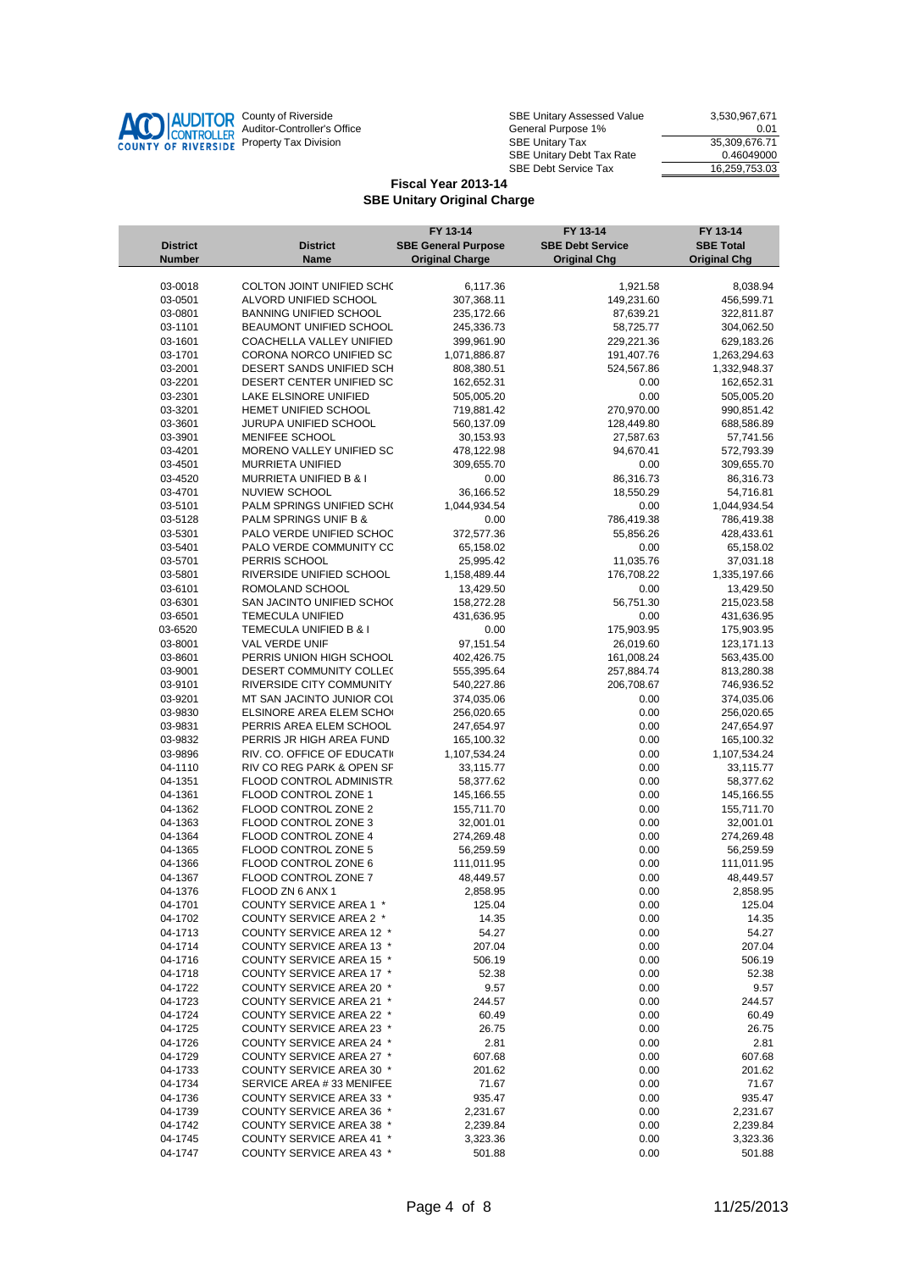

| County of Riverside         | SBE Unitary Assessed Value              | 3.530.967.671 |
|-----------------------------|-----------------------------------------|---------------|
| Auditor-Controller's Office | General Purpose 1%                      | 0.01          |
| Property Tax Division       | 35.309.676.71<br><b>SBE Unitary Tax</b> |               |
|                             | <b>SBE Unitary Debt Tax Rate</b>        | 0.46049000    |
|                             | <b>SBE Debt Service Tax</b>             | 16,259,753.03 |

|                 |                                 | FY 13-14                   | FY 13-14                | FY 13-14            |
|-----------------|---------------------------------|----------------------------|-------------------------|---------------------|
| <b>District</b> | <b>District</b>                 | <b>SBE General Purpose</b> | <b>SBE Debt Service</b> | <b>SBE Total</b>    |
| <b>Number</b>   | Name                            | <b>Original Charge</b>     | <b>Original Chg</b>     | <b>Original Chg</b> |
|                 |                                 |                            |                         |                     |
| 03-0018         | COLTON JOINT UNIFIED SCHO       | 6,117.36                   | 1,921.58                | 8,038.94            |
| 03-0501         | ALVORD UNIFIED SCHOOL           | 307,368.11                 | 149,231.60              | 456,599.71          |
| 03-0801         | <b>BANNING UNIFIED SCHOOL</b>   | 235,172.66                 | 87,639.21               | 322,811.87          |
| 03-1101         | BEAUMONT UNIFIED SCHOOL         | 245,336.73                 | 58,725.77               | 304,062.50          |
| 03-1601         | COACHELLA VALLEY UNIFIED        | 399,961.90                 | 229,221.36              | 629,183.26          |
| 03-1701         | CORONA NORCO UNIFIED SCI        | 1,071,886.87               | 191,407.76              | 1,263,294.63        |
| 03-2001         | DESERT SANDS UNIFIED SCH        | 808,380.51                 | 524,567.86              | 1,332,948.37        |
| 03-2201         | DESERT CENTER UNIFIED SC        | 162,652.31                 | 0.00                    | 162,652.31          |
| 03-2301         | LAKE ELSINORE UNIFIED           | 505,005.20                 | 0.00                    | 505,005.20          |
| 03-3201         | HEMET UNIFIED SCHOOL            | 719,881.42                 | 270,970.00              | 990,851.42          |
| 03-3601         | JURUPA UNIFIED SCHOOL           | 560,137.09                 | 128,449.80              | 688,586.89          |
| 03-3901         | MENIFEE SCHOOL                  | 30,153.93                  | 27,587.63               | 57,741.56           |
| 03-4201         | MORENO VALLEY UNIFIED SC        | 478,122.98                 | 94,670.41               | 572,793.39          |
| 03-4501         | <b>MURRIETA UNIFIED</b>         | 309,655.70                 | 0.00                    | 309,655.70          |
| 03-4520         | MURRIETA UNIFIED B & I          | 0.00                       | 86,316.73               | 86,316.73           |
| 03-4701         | NUVIEW SCHOOL                   | 36,166.52                  | 18,550.29               | 54,716.81           |
| 03-5101         | PALM SPRINGS UNIFIED SCHO       | 1,044,934.54               | 0.00                    | 1,044,934.54        |
| 03-5128         | PALM SPRINGS UNIF B &           | 0.00                       | 786,419.38              | 786,419.38          |
| 03-5301         | PALO VERDE UNIFIED SCHOC        | 372,577.36                 | 55,856.26               | 428,433.61          |
| 03-5401         | PALO VERDE COMMUNITY CC         | 65,158.02                  | 0.00                    | 65,158.02           |
| 03-5701         | PERRIS SCHOOL                   | 25,995.42                  | 11,035.76               | 37,031.18           |
| 03-5801         | RIVERSIDE UNIFIED SCHOOL        | 1,158,489.44               | 176,708.22              | 1,335,197.66        |
| 03-6101         | ROMOLAND SCHOOL                 | 13,429.50                  | 0.00                    | 13,429.50           |
| 03-6301         | SAN JACINTO UNIFIED SCHOO       | 158,272.28                 | 56,751.30               | 215,023.58          |
| 03-6501         | <b>TEMECULA UNIFIED</b>         | 431,636.95                 | 0.00                    | 431,636.95          |
| 03-6520         | TEMECULA UNIFIED B & I          | 0.00                       | 175,903.95              | 175,903.95          |
| 03-8001         | VAL VERDE UNIF                  | 97,151.54                  | 26,019.60               | 123, 171. 13        |
| 03-8601         | PERRIS UNION HIGH SCHOOL        | 402,426.75                 | 161,008.24              | 563,435.00          |
| 03-9001         | DESERT COMMUNITY COLLE(         | 555,395.64                 | 257,884.74              | 813,280.38          |
| 03-9101         | RIVERSIDE CITY COMMUNITY        | 540,227.86                 | 206,708.67              | 746,936.52          |
| 03-9201         | MT SAN JACINTO JUNIOR COL       | 374,035.06                 | 0.00                    | 374,035.06          |
| 03-9830         | ELSINORE AREA ELEM SCHO         | 256,020.65                 | 0.00                    | 256,020.65          |
| 03-9831         | PERRIS AREA ELEM SCHOOL         | 247,654.97                 | 0.00                    | 247,654.97          |
| 03-9832         | PERRIS JR HIGH AREA FUND        | 165,100.32                 | 0.00                    | 165,100.32          |
| 03-9896         | RIV. CO. OFFICE OF EDUCATIV     | 1,107,534.24               | 0.00                    | 1,107,534.24        |
| 04-1110         | RIV CO REG PARK & OPEN SF       | 33,115.77                  | 0.00                    | 33,115.77           |
| 04-1351         | FLOOD CONTROL ADMINISTR.        | 58,377.62                  | 0.00                    | 58,377.62           |
| 04-1361         | FLOOD CONTROL ZONE 1            | 145,166.55                 | 0.00                    | 145,166.55          |
| 04-1362         | FLOOD CONTROL ZONE 2            | 155,711.70                 | 0.00                    | 155,711.70          |
| 04-1363         | FLOOD CONTROL ZONE 3            | 32,001.01                  | 0.00                    | 32,001.01           |
| 04-1364         | FLOOD CONTROL ZONE 4            | 274,269.48                 | 0.00                    | 274,269.48          |
| 04-1365         | FLOOD CONTROL ZONE 5            | 56,259.59                  | 0.00                    | 56,259.59           |
| 04-1366         | FLOOD CONTROL ZONE 6            | 111,011.95                 | 0.00                    | 111,011.95          |
| 04-1367         | FLOOD CONTROL ZONE 7            | 48,449.57                  | 0.00                    | 48,449.57           |
| 04-1376         | FLOOD ZN 6 ANX 1                | 2,858.95                   | 0.00                    | 2,858.95            |
| 04-1701         | COUNTY SERVICE AREA 1 *         | 125.04                     | 0.00                    | 125.04              |
| 04-1702         | COUNTY SERVICE AREA 2 *         | 14.35                      | 0.00                    | 14.35               |
| 04-1713         | COUNTY SERVICE AREA 12 *        | 54.27                      | 0.00                    | 54.27               |
| 04-1714         | COUNTY SERVICE AREA 13 *        | 207.04                     | 0.00                    | 207.04              |
| 04-1716         | COUNTY SERVICE AREA 15 *        | 506.19                     | 0.00                    | 506.19              |
| 04-1718         | COUNTY SERVICE AREA 17 *        | 52.38                      | 0.00                    | 52.38               |
| 04-1722         | COUNTY SERVICE AREA 20 *        | 9.57                       | 0.00                    | 9.57                |
| 04-1723         | COUNTY SERVICE AREA 21 *        | 244.57                     | 0.00                    | 244.57              |
| 04-1724         | COUNTY SERVICE AREA 22 *        | 60.49                      | 0.00                    | 60.49               |
| 04-1725         | COUNTY SERVICE AREA 23 *        | 26.75                      | 0.00                    | 26.75               |
| 04-1726         | COUNTY SERVICE AREA 24 *        | 2.81                       | 0.00                    | 2.81                |
| 04-1729         | COUNTY SERVICE AREA 27 *        | 607.68                     | 0.00                    | 607.68              |
| 04-1733         | COUNTY SERVICE AREA 30 *        | 201.62                     | 0.00                    | 201.62              |
| 04-1734         | SERVICE AREA #33 MENIFEE        | 71.67                      | 0.00                    | 71.67               |
| 04-1736         | COUNTY SERVICE AREA 33 *        | 935.47                     | 0.00                    | 935.47              |
| 04-1739         | COUNTY SERVICE AREA 36 *        | 2,231.67                   | 0.00                    | 2,231.67            |
| 04-1742         | COUNTY SERVICE AREA 38 *        | 2,239.84                   | 0.00                    | 2,239.84            |
| 04-1745         | <b>COUNTY SERVICE AREA 41 *</b> | 3,323.36                   | 0.00                    | 3,323.36            |
| 04-1747         | COUNTY SERVICE AREA 43 *        | 501.88                     | 0.00                    | 501.88              |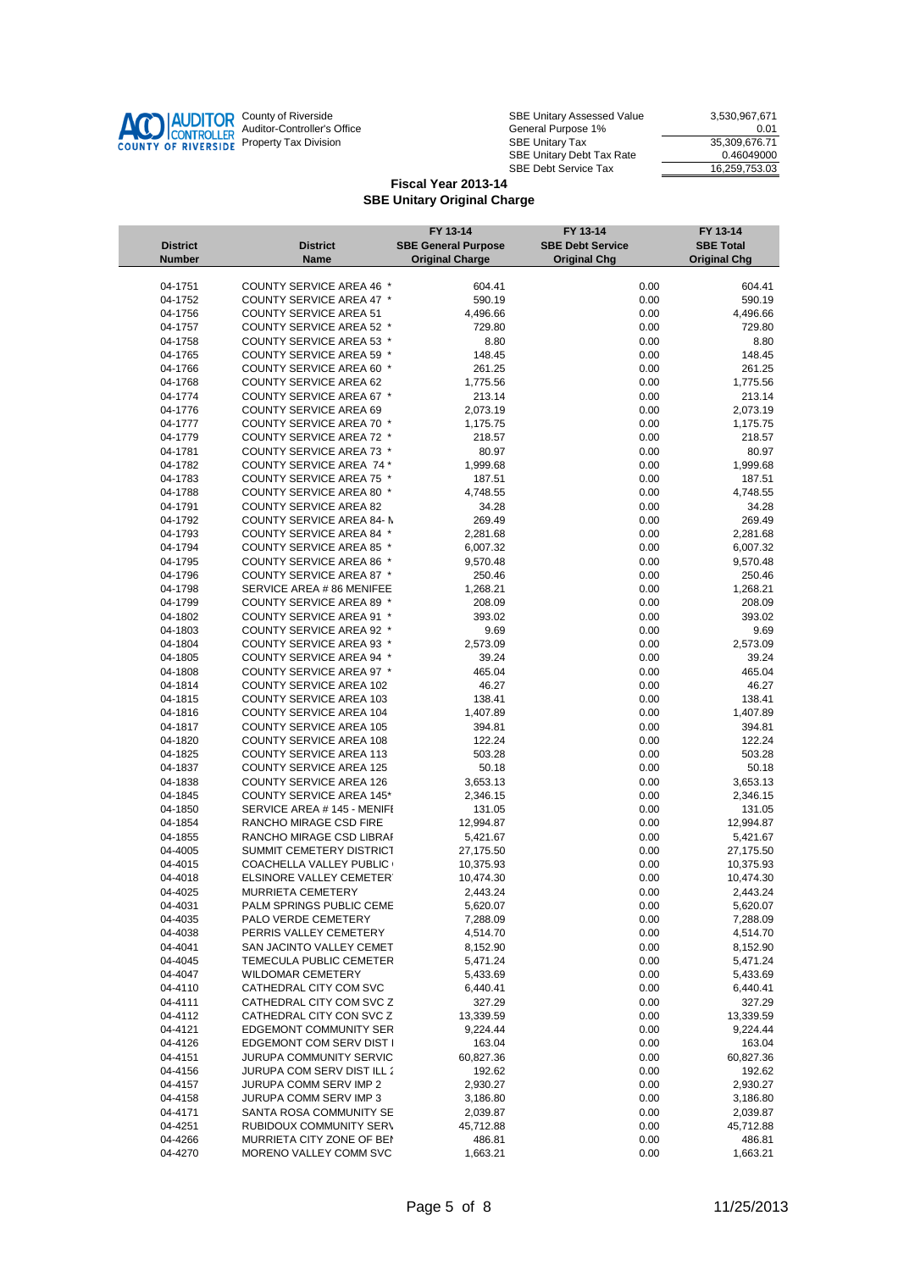

| County of Riverside         | <b>SBE Unitary Assessed Value</b>       | 3.530.967.671 |
|-----------------------------|-----------------------------------------|---------------|
| Auditor-Controller's Office | General Purpose 1%                      | 0.01          |
| Property Tax Division       | 35.309.676.71<br><b>SBE Unitary Tax</b> |               |
|                             | SBE Unitary Debt Tax Rate               | 0.46049000    |
|                             | <b>SBE Debt Service Tax</b>             | 16.259.753.03 |

|                    |                                                           | FY 13-14                   | FY 13-14                | FY 13-14            |
|--------------------|-----------------------------------------------------------|----------------------------|-------------------------|---------------------|
| <b>District</b>    | <b>District</b>                                           | <b>SBE General Purpose</b> | <b>SBE Debt Service</b> | <b>SBE Total</b>    |
| <b>Number</b>      | <b>Name</b>                                               | <b>Original Charge</b>     | <b>Original Chg</b>     | <b>Original Chg</b> |
|                    |                                                           |                            |                         |                     |
| 04-1751            | COUNTY SERVICE AREA 46 *                                  | 604.41                     | 0.00                    | 604.41              |
| 04-1752            | COUNTY SERVICE AREA 47 *                                  | 590.19                     | 0.00                    | 590.19              |
| 04-1756            | <b>COUNTY SERVICE AREA 51</b>                             | 4,496.66                   | 0.00                    | 4,496.66            |
| 04-1757            | COUNTY SERVICE AREA 52 *                                  | 729.80                     | 0.00                    | 729.80              |
| 04-1758            | COUNTY SERVICE AREA 53 *                                  | 8.80                       | 0.00                    | 8.80                |
| 04-1765            | COUNTY SERVICE AREA 59 *                                  | 148.45                     | 0.00                    | 148.45              |
| 04-1766            | <b>COUNTY SERVICE AREA 60 *</b>                           | 261.25                     | 0.00                    | 261.25              |
| 04-1768            | <b>COUNTY SERVICE AREA 62</b>                             | 1,775.56                   | 0.00                    | 1,775.56            |
| 04-1774            | COUNTY SERVICE AREA 67 *                                  | 213.14                     | 0.00                    | 213.14              |
| 04-1776            | <b>COUNTY SERVICE AREA 69</b>                             | 2,073.19                   | 0.00                    | 2,073.19            |
| 04-1777            | COUNTY SERVICE AREA 70 *<br>COUNTY SERVICE AREA 72 *      | 1,175.75                   | 0.00                    | 1,175.75            |
| 04-1779            | COUNTY SERVICE AREA 73 *                                  | 218.57                     | 0.00                    | 218.57              |
| 04-1781            |                                                           | 80.97                      | 0.00                    | 80.97               |
| 04-1782            | COUNTY SERVICE AREA 74 *                                  | 1,999.68                   | 0.00                    | 1,999.68            |
| 04-1783            | <b>COUNTY SERVICE AREA 75 *</b>                           | 187.51                     | 0.00                    | 187.51              |
| 04-1788            | COUNTY SERVICE AREA 80 *<br><b>COUNTY SERVICE AREA 82</b> | 4,748.55                   | 0.00<br>0.00            | 4,748.55            |
| 04-1791<br>04-1792 | COUNTY SERVICE AREA 84- N                                 | 34.28<br>269.49            | 0.00                    | 34.28<br>269.49     |
|                    | COUNTY SERVICE AREA 84 *                                  |                            |                         |                     |
| 04-1793<br>04-1794 | COUNTY SERVICE AREA 85 *                                  | 2,281.68                   | 0.00                    | 2,281.68            |
|                    | COUNTY SERVICE AREA 86 *                                  | 6,007.32                   | 0.00                    | 6,007.32            |
| 04-1795<br>04-1796 | COUNTY SERVICE AREA 87 *                                  | 9,570.48                   | 0.00<br>0.00            | 9,570.48            |
|                    | SERVICE AREA # 86 MENIFEE                                 | 250.46                     |                         | 250.46              |
| 04-1798            | COUNTY SERVICE AREA 89 *                                  | 1,268.21                   | 0.00                    | 1,268.21            |
| 04-1799            |                                                           | 208.09                     | 0.00                    | 208.09              |
| 04-1802<br>04-1803 | COUNTY SERVICE AREA 91 *                                  | 393.02                     | 0.00                    | 393.02              |
|                    | COUNTY SERVICE AREA 92 *<br>COUNTY SERVICE AREA 93 *      | 9.69                       | 0.00                    | 9.69                |
| 04-1804            | <b>COUNTY SERVICE AREA 94 *</b>                           | 2,573.09                   | 0.00                    | 2,573.09<br>39.24   |
| 04-1805<br>04-1808 | COUNTY SERVICE AREA 97 *                                  | 39.24<br>465.04            | 0.00<br>0.00            | 465.04              |
| 04-1814            | <b>COUNTY SERVICE AREA 102</b>                            | 46.27                      | 0.00                    | 46.27               |
| 04-1815            | COUNTY SERVICE AREA 103                                   | 138.41                     | 0.00                    | 138.41              |
| 04-1816            | <b>COUNTY SERVICE AREA 104</b>                            | 1,407.89                   | 0.00                    | 1,407.89            |
| 04-1817            | <b>COUNTY SERVICE AREA 105</b>                            | 394.81                     | 0.00                    | 394.81              |
| 04-1820            | <b>COUNTY SERVICE AREA 108</b>                            | 122.24                     | 0.00                    | 122.24              |
| 04-1825            | <b>COUNTY SERVICE AREA 113</b>                            | 503.28                     | 0.00                    | 503.28              |
| 04-1837            | <b>COUNTY SERVICE AREA 125</b>                            | 50.18                      | 0.00                    | 50.18               |
| 04-1838            | <b>COUNTY SERVICE AREA 126</b>                            | 3,653.13                   | 0.00                    | 3,653.13            |
| 04-1845            | <b>COUNTY SERVICE AREA 145*</b>                           | 2,346.15                   | 0.00                    | 2,346.15            |
| 04-1850            | SERVICE AREA # 145 - MENIFI                               | 131.05                     | 0.00                    | 131.05              |
| 04-1854            | RANCHO MIRAGE CSD FIRE                                    | 12,994.87                  | 0.00                    | 12,994.87           |
| 04-1855            | RANCHO MIRAGE CSD LIBRAF                                  | 5,421.67                   | 0.00                    | 5,421.67            |
| 04-4005            | SUMMIT CEMETERY DISTRICT                                  | 27,175.50                  | 0.00                    | 27,175.50           |
| 04-4015            | COACHELLA VALLEY PUBLIC (                                 | 10,375.93                  | 0.00                    | 10,375.93           |
| 04-4018            | ELSINORE VALLEY CEMETER'                                  | 10,474.30                  | 0.00                    | 10,474.30           |
| 04-4025            | MURRIETA CEMETERY                                         | 2,443.24                   | 0.00                    | 2,443.24            |
| 04-4031            | PALM SPRINGS PUBLIC CEME                                  | 5,620.07                   | 0.00                    | 5,620.07            |
| 04-4035            | PALO VERDE CEMETERY                                       | 7,288.09                   | 0.00                    | 7,288.09            |
| 04-4038            | PERRIS VALLEY CEMETERY                                    | 4,514.70                   | 0.00                    | 4,514.70            |
| 04-4041            | SAN JACINTO VALLEY CEMET                                  | 8,152.90                   | 0.00                    | 8,152.90            |
| 04-4045            | TEMECULA PUBLIC CEMETER                                   | 5,471.24                   | 0.00                    | 5,471.24            |
| 04-4047            | <b>WILDOMAR CEMETERY</b>                                  | 5,433.69                   | 0.00                    | 5,433.69            |
| 04-4110            | CATHEDRAL CITY COM SVC                                    | 6,440.41                   | 0.00                    | 6,440.41            |
| 04-4111            | CATHEDRAL CITY COM SVC Z                                  | 327.29                     | 0.00                    | 327.29              |
| 04-4112            | CATHEDRAL CITY CON SVC Z                                  | 13,339.59                  | 0.00                    | 13,339.59           |
| 04-4121            | EDGEMONT COMMUNITY SER                                    | 9,224.44                   | 0.00                    | 9,224.44            |
| 04-4126            | EDGEMONT COM SERV DIST I                                  | 163.04                     | 0.00                    | 163.04              |
| 04-4151            | JURUPA COMMUNITY SERVIC                                   | 60,827.36                  | 0.00                    | 60,827.36           |
| 04-4156            | JURUPA COM SERV DIST ILL 2                                | 192.62                     | 0.00                    | 192.62              |
| 04-4157            | JURUPA COMM SERV IMP 2                                    | 2,930.27                   | 0.00                    | 2,930.27            |
| 04-4158            | JURUPA COMM SERV IMP 3                                    | 3,186.80                   | 0.00                    | 3,186.80            |
| 04-4171            | SANTA ROSA COMMUNITY SE                                   | 2,039.87                   | 0.00                    | 2,039.87            |
| 04-4251            | RUBIDOUX COMMUNITY SERV                                   | 45,712.88                  | 0.00                    | 45,712.88           |
| 04-4266            | MURRIETA CITY ZONE OF BEN                                 | 486.81                     | 0.00                    | 486.81              |
| 04-4270            | MORENO VALLEY COMM SVC                                    | 1,663.21                   | 0.00                    | 1,663.21            |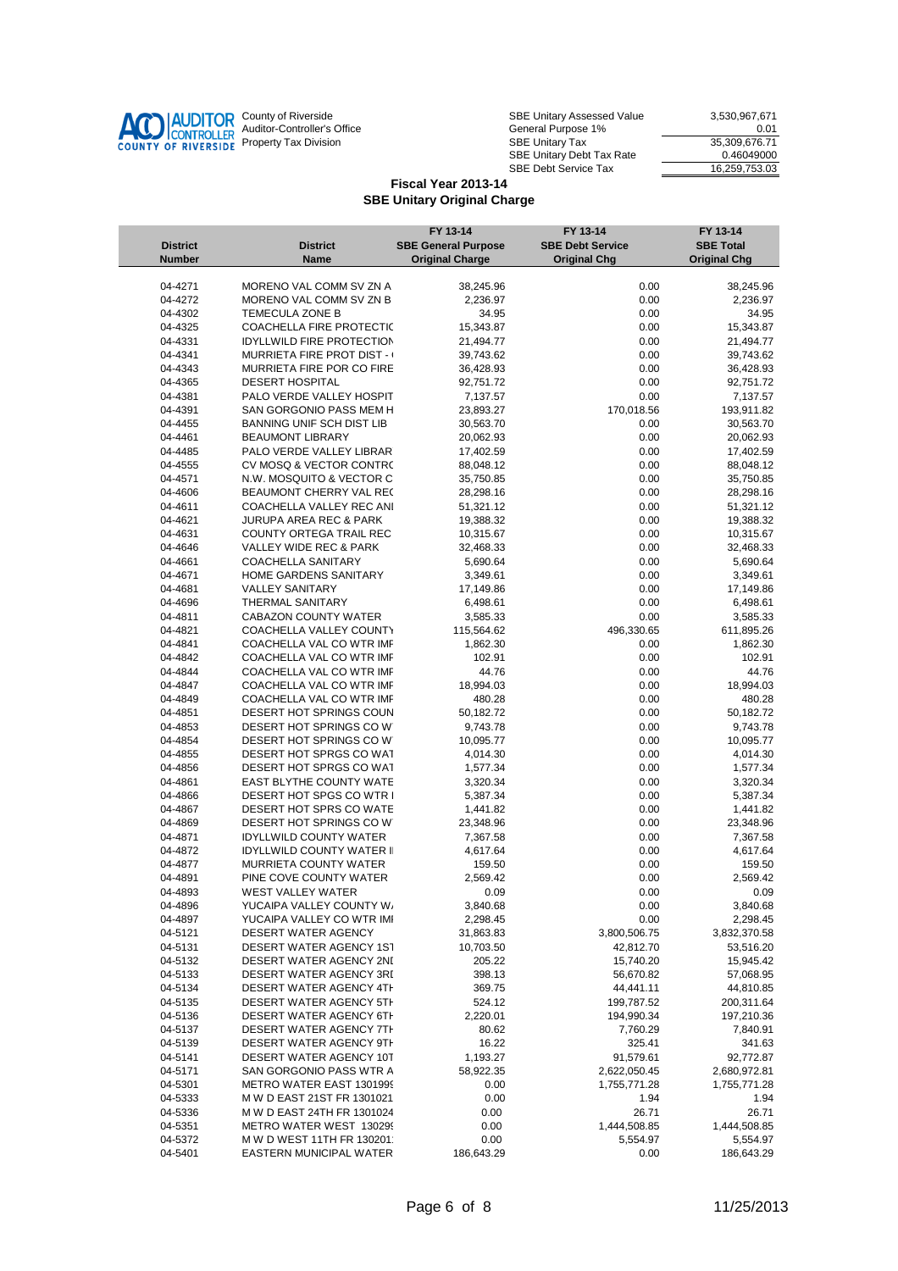

| County of Riverside         | <b>SBE Unitary Assessed Value</b>       | 3.530.967.671 |
|-----------------------------|-----------------------------------------|---------------|
| Auditor-Controller's Office | General Purpose 1%                      | 0.01          |
| Property Tax Division       | 35.309.676.71<br><b>SBE Unitary Tax</b> |               |
|                             | SBE Unitary Debt Tax Rate               | 0.46049000    |
|                             | <b>SBE Debt Service Tax</b>             | 16.259.753.03 |

|                    |                                            | FY 13-14                   | FY 13-14                | FY 13-14               |
|--------------------|--------------------------------------------|----------------------------|-------------------------|------------------------|
| <b>District</b>    | <b>District</b>                            | <b>SBE General Purpose</b> | <b>SBE Debt Service</b> | <b>SBE Total</b>       |
| <b>Number</b>      | <b>Name</b>                                | <b>Original Charge</b>     | <b>Original Chg</b>     | <b>Original Chg</b>    |
|                    |                                            |                            |                         |                        |
| 04-4271            | MORENO VAL COMM SV ZN A                    | 38,245.96                  | 0.00                    | 38,245.96              |
| 04-4272<br>04-4302 | MORENO VAL COMM SV ZN B<br>TEMECULA ZONE B | 2,236.97<br>34.95          | 0.00<br>0.00            | 2,236.97<br>34.95      |
| 04-4325            | COACHELLA FIRE PROTECTIC                   | 15,343.87                  | 0.00                    | 15,343.87              |
| 04-4331            | <b>IDYLLWILD FIRE PROTECTION</b>           | 21,494.77                  | 0.00                    | 21,494.77              |
| 04-4341            | <b>MURRIETA FIRE PROT DIST - (</b>         |                            | 0.00                    |                        |
| 04-4343            | MURRIETA FIRE POR CO FIRE                  | 39,743.62<br>36,428.93     | 0.00                    | 39,743.62              |
|                    | <b>DESERT HOSPITAL</b>                     |                            |                         | 36,428.93              |
| 04-4365<br>04-4381 | PALO VERDE VALLEY HOSPIT                   | 92,751.72                  | 0.00<br>0.00            | 92,751.72              |
| 04-4391            | SAN GORGONIO PASS MEM H                    | 7,137.57                   | 170,018.56              | 7,137.57<br>193,911.82 |
|                    |                                            | 23,893.27                  |                         |                        |
| 04-4455            | BANNING UNIF SCH DIST LIB                  | 30,563.70                  | 0.00                    | 30,563.70<br>20,062.93 |
| 04-4461            | <b>BEAUMONT LIBRARY</b>                    | 20,062.93                  | 0.00                    |                        |
| 04-4485            | PALO VERDE VALLEY LIBRAR                   | 17,402.59                  | 0.00                    | 17,402.59              |
| 04-4555            | CV MOSQ & VECTOR CONTRO                    | 88,048.12                  | 0.00                    | 88,048.12              |
| 04-4571            | N.W. MOSQUITO & VECTOR C                   | 35,750.85                  | 0.00                    | 35,750.85              |
| 04-4606            | BEAUMONT CHERRY VAL REC                    | 28,298.16                  | 0.00                    | 28,298.16              |
| 04-4611            | COACHELLA VALLEY REC ANI                   | 51,321.12                  | 0.00                    | 51,321.12              |
| 04-4621            | JURUPA AREA REC & PARK                     | 19,388.32                  | 0.00                    | 19,388.32              |
| 04-4631            | COUNTY ORTEGA TRAIL REC                    | 10,315.67                  | 0.00                    | 10,315.67              |
| 04-4646            | VALLEY WIDE REC & PARK                     | 32,468.33                  | 0.00                    | 32,468.33              |
| 04-4661            | <b>COACHELLA SANITARY</b>                  | 5,690.64                   | 0.00                    | 5,690.64               |
| 04-4671            | HOME GARDENS SANITARY                      | 3,349.61                   | 0.00                    | 3,349.61               |
| 04-4681            | <b>VALLEY SANITARY</b>                     | 17,149.86                  | 0.00                    | 17,149.86              |
| 04-4696            | THERMAL SANITARY                           | 6,498.61                   | 0.00                    | 6,498.61               |
| 04-4811            | <b>CABAZON COUNTY WATER</b>                | 3,585.33                   | 0.00                    | 3,585.33               |
| 04-4821            | COACHELLA VALLEY COUNTY                    | 115,564.62                 | 496,330.65              | 611,895.26             |
| 04-4841            | COACHELLA VAL CO WTR IMF                   | 1,862.30                   | 0.00                    | 1,862.30               |
| 04-4842            | COACHELLA VAL CO WTR IMF                   | 102.91                     | 0.00                    | 102.91                 |
| 04-4844            | COACHELLA VAL CO WTR IMF                   | 44.76                      | 0.00                    | 44.76                  |
| 04-4847            | COACHELLA VAL CO WTR IMF                   | 18,994.03                  | 0.00                    | 18,994.03              |
| 04-4849            | COACHELLA VAL CO WTR IMF                   | 480.28                     | 0.00                    | 480.28                 |
| 04-4851            | DESERT HOT SPRINGS COUN                    | 50,182.72                  | 0.00                    | 50,182.72              |
| 04-4853            | DESERT HOT SPRINGS COW                     | 9,743.78                   | 0.00                    | 9,743.78               |
| 04-4854            | DESERT HOT SPRINGS COW                     | 10,095.77                  | 0.00                    | 10,095.77              |
| 04-4855            | DESERT HOT SPRGS CO WAT                    | 4,014.30                   | 0.00                    | 4,014.30               |
| 04-4856            | DESERT HOT SPRGS CO WAT                    | 1,577.34                   | 0.00                    | 1,577.34               |
| 04-4861            | EAST BLYTHE COUNTY WATE                    | 3,320.34                   | 0.00                    | 3,320.34               |
| 04-4866            | DESERT HOT SPGS CO WTR I                   | 5,387.34                   | 0.00                    | 5,387.34               |
| 04-4867            | DESERT HOT SPRS CO WATE                    | 1,441.82                   | 0.00                    | 1,441.82               |
| 04-4869            | DESERT HOT SPRINGS COW                     | 23,348.96                  | 0.00                    | 23,348.96              |
| 04-4871            | <b>IDYLLWILD COUNTY WATER</b>              | 7,367.58                   | 0.00                    | 7,367.58               |
| 04-4872            | <b>IDYLLWILD COUNTY WATER II</b>           | 4,617.64                   | 0.00                    | 4,617.64               |
| 04-4877            | MURRIETA COUNTY WATER                      | 159.50                     | 0.00                    | 159.50                 |
| 04-4891            | PINE COVE COUNTY WATER                     | 2,569.42                   | 0.00                    | 2,569.42               |
| 04-4893            | <b>WEST VALLEY WATER</b>                   | 0.09                       | 0.00                    | 0.09                   |
| 04-4896            | YUCAIPA VALLEY COUNTY W/                   | 3,840.68                   | 0.00                    | 3,840.68               |
| 04-4897            | YUCAIPA VALLEY CO WTR IMI                  | 2,298.45                   | 0.00                    | 2,298.45               |
| 04-5121            | DESERT WATER AGENCY                        | 31,863.83                  | 3,800,506.75            | 3,832,370.58           |
| 04-5131            | DESERT WATER AGENCY 1ST                    | 10,703.50                  | 42,812.70               | 53,516.20              |
| 04-5132            | DESERT WATER AGENCY 2NI                    | 205.22                     | 15,740.20               | 15,945.42              |
| 04-5133            | DESERT WATER AGENCY 3RI                    | 398.13                     | 56,670.82               | 57,068.95              |
| 04-5134            | DESERT WATER AGENCY 4TH                    | 369.75                     | 44,441.11               | 44,810.85              |
| 04-5135            | DESERT WATER AGENCY 5TH                    | 524.12                     | 199,787.52              | 200,311.64             |
| 04-5136            | DESERT WATER AGENCY 6TH                    | 2,220.01                   | 194,990.34              | 197,210.36             |
| 04-5137            | DESERT WATER AGENCY 7TH                    | 80.62                      | 7,760.29                | 7,840.91               |
| 04-5139            | <b>DESERT WATER AGENCY 9TH</b>             | 16.22                      | 325.41                  | 341.63                 |
| 04-5141            | DESERT WATER AGENCY 10T                    | 1,193.27                   | 91,579.61               | 92,772.87              |
| 04-5171            | SAN GORGONIO PASS WTR A                    | 58,922.35                  | 2,622,050.45            | 2,680,972.81           |
| 04-5301            | METRO WATER EAST 1301999                   | 0.00                       | 1,755,771.28            | 1,755,771.28           |
| 04-5333            | M W D EAST 21ST FR 1301021                 | 0.00                       | 1.94                    | 1.94                   |
| 04-5336            | M W D EAST 24TH FR 1301024                 | 0.00                       | 26.71                   | 26.71                  |
| 04-5351            | METRO WATER WEST 130299                    | 0.00                       | 1,444,508.85            | 1,444,508.85           |
| 04-5372            | M W D WEST 11TH FR 130201                  | 0.00                       | 5,554.97                | 5,554.97               |
| 04-5401            | EASTERN MUNICIPAL WATER                    | 186,643.29                 | 0.00                    | 186,643.29             |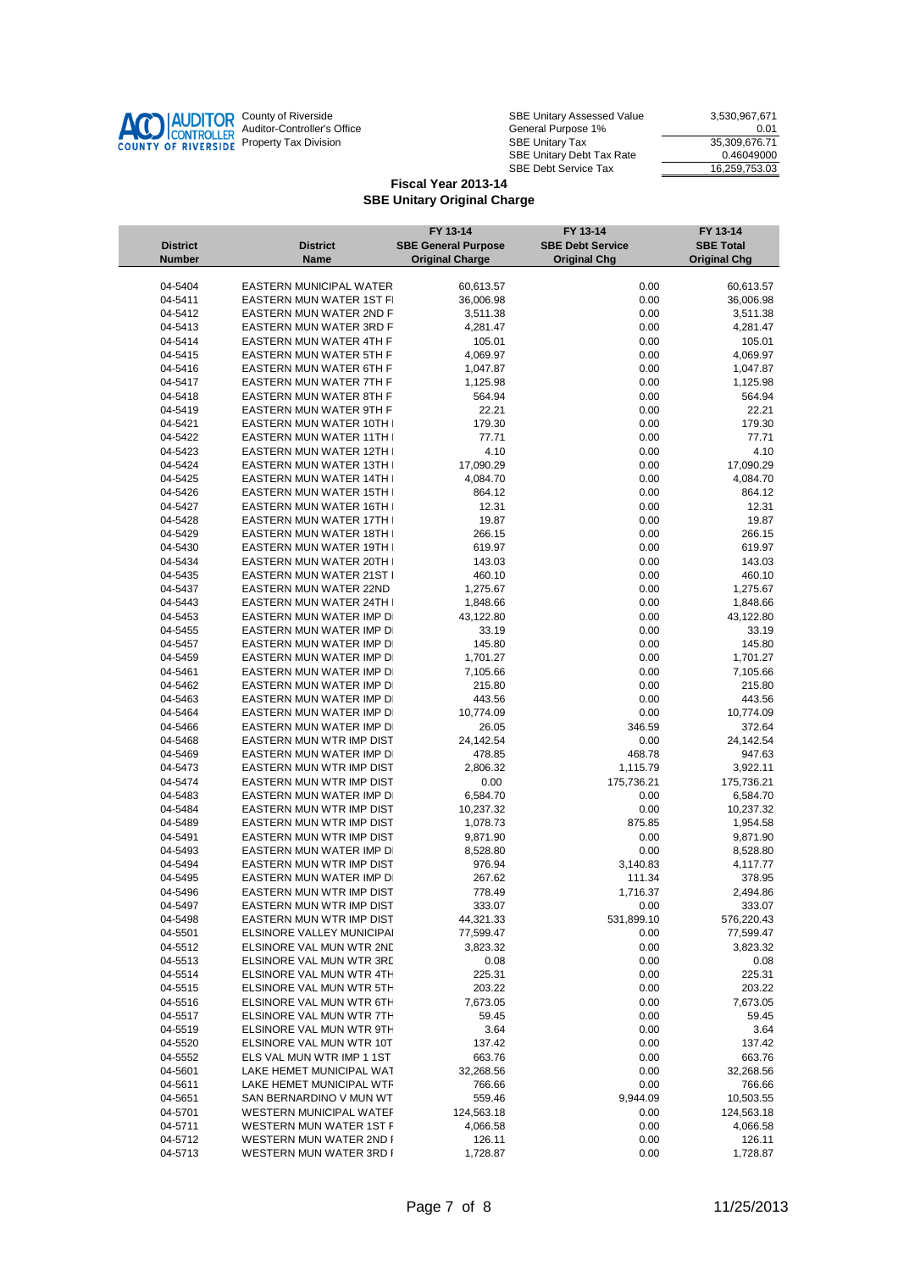

| County of Riverside         | <b>SBE Unitary Assessed Value</b> | 3.530.967.671 |
|-----------------------------|-----------------------------------|---------------|
| Auditor-Controller's Office | General Purpose 1%                | 0.01          |
| Property Tax Division       | <b>SBE Unitary Tax</b>            | 35.309.676.71 |
|                             | SBE Unitary Debt Tax Rate         | 0.46049000    |
|                             | <b>SBE Debt Service Tax</b>       | 16.259.753.03 |

|                 |                                 | FY 13-14                   | FY 13-14                | FY 13-14            |
|-----------------|---------------------------------|----------------------------|-------------------------|---------------------|
| <b>District</b> | <b>District</b>                 | <b>SBE General Purpose</b> | <b>SBE Debt Service</b> | <b>SBE Total</b>    |
| <b>Number</b>   | <b>Name</b>                     | <b>Original Charge</b>     | <b>Original Chg</b>     | <b>Original Chg</b> |
|                 |                                 |                            |                         |                     |
| 04-5404         | EASTERN MUNICIPAL WATER         | 60,613.57                  | 0.00                    | 60,613.57           |
| 04-5411         | EASTERN MUN WATER 1ST FI        | 36,006.98                  | 0.00                    | 36,006.98           |
| 04-5412         | <b>EASTERN MUN WATER 2ND F</b>  | 3,511.38                   | 0.00                    | 3,511.38            |
| 04-5413         | <b>EASTERN MUN WATER 3RD F</b>  | 4,281.47                   | 0.00                    | 4,281.47            |
| 04-5414         | <b>EASTERN MUN WATER 4TH FI</b> | 105.01                     | 0.00                    | 105.01              |
| 04-5415         | <b>EASTERN MUN WATER 5TH FI</b> | 4,069.97                   | 0.00                    | 4,069.97            |
| 04-5416         | <b>EASTERN MUN WATER 6TH FI</b> | 1,047.87                   | 0.00                    | 1,047.87            |
| 04-5417         | <b>EASTERN MUN WATER 7TH FI</b> | 1,125.98                   | 0.00                    | 1,125.98            |
| 04-5418         | <b>EASTERN MUN WATER 8TH FI</b> | 564.94                     | 0.00                    | 564.94              |
| 04-5419         | EASTERN MUN WATER 9TH FI        | 22.21                      | 0.00                    | 22.21               |
| 04-5421         | <b>EASTERN MUN WATER 10TH I</b> | 179.30                     | 0.00                    | 179.30              |
| 04-5422         | <b>EASTERN MUN WATER 11TH I</b> | 77.71                      | 0.00                    | 77.71               |
| 04-5423         | EASTERN MUN WATER 12TH I        | 4.10                       | 0.00                    | 4.10                |
| 04-5424         | EASTERN MUN WATER 13TH I        | 17,090.29                  | 0.00                    | 17,090.29           |
| 04-5425         | EASTERN MUN WATER 14TH I        | 4,084.70                   | 0.00                    | 4,084.70            |
| 04-5426         | EASTERN MUN WATER 15TH I        | 864.12                     | 0.00                    | 864.12              |
| 04-5427         | EASTERN MUN WATER 16TH I        | 12.31                      | 0.00                    | 12.31               |
| 04-5428         | EASTERN MUN WATER 17TH I        | 19.87                      | 0.00                    | 19.87               |
| 04-5429         | EASTERN MUN WATER 18TH I        | 266.15                     | 0.00                    | 266.15              |
| 04-5430         | EASTERN MUN WATER 19TH I        | 619.97                     | 0.00                    | 619.97              |
| 04-5434         | EASTERN MUN WATER 20TH I        | 143.03                     | 0.00                    | 143.03              |
| 04-5435         | EASTERN MUN WATER 21ST I        | 460.10                     | 0.00                    | 460.10              |
| 04-5437         | <b>EASTERN MUN WATER 22ND</b>   | 1,275.67                   | 0.00                    | 1,275.67            |
| 04-5443         | EASTERN MUN WATER 24TH I        | 1,848.66                   | 0.00                    | 1,848.66            |
| 04-5453         | EASTERN MUN WATER IMP DI        | 43,122.80                  | 0.00                    | 43,122.80           |
| 04-5455         | EASTERN MUN WATER IMP DI        | 33.19                      | 0.00                    | 33.19               |
| 04-5457         | EASTERN MUN WATER IMP DI        | 145.80                     | 0.00                    | 145.80              |
| 04-5459         | EASTERN MUN WATER IMP DI        | 1,701.27                   | 0.00                    | 1,701.27            |
| 04-5461         | EASTERN MUN WATER IMP DI        | 7,105.66                   | 0.00                    | 7,105.66            |
| 04-5462         | EASTERN MUN WATER IMP DI        | 215.80                     | 0.00                    | 215.80              |
| 04-5463         | EASTERN MUN WATER IMP DI        | 443.56                     | 0.00                    | 443.56              |
| 04-5464         | EASTERN MUN WATER IMP DI        | 10,774.09                  | 0.00                    | 10,774.09           |
| 04-5466         | EASTERN MUN WATER IMP DI        | 26.05                      | 346.59                  | 372.64              |
| 04-5468         | EASTERN MUN WTR IMP DIST        | 24,142.54                  | 0.00                    | 24,142.54           |
| 04-5469         | EASTERN MUN WATER IMP DI        | 478.85                     | 468.78                  | 947.63              |
| 04-5473         | EASTERN MUN WTR IMP DIST        | 2,806.32                   | 1,115.79                | 3,922.11            |
| 04-5474         | EASTERN MUN WTR IMP DIST        | 0.00                       | 175,736.21              | 175,736.21          |
| 04-5483         | EASTERN MUN WATER IMP DI        | 6,584.70                   | 0.00                    | 6,584.70            |
| 04-5484         | EASTERN MUN WTR IMP DIST        | 10,237.32                  | 0.00                    | 10,237.32           |
| 04-5489         | EASTERN MUN WTR IMP DIST        | 1,078.73                   | 875.85                  | 1,954.58            |
| 04-5491         | EASTERN MUN WTR IMP DIST        | 9,871.90                   | 0.00                    | 9,871.90            |
| 04-5493         | EASTERN MUN WATER IMP DI        | 8,528.80                   | 0.00                    | 8,528.80            |
| 04-5494         | EASTERN MUN WTR IMP DIST        | 976.94                     | 3,140.83                | 4,117.77            |
| 04-5495         | EASTERN MUN WATER IMP DI        | 267.62                     | 111.34                  | 378.95              |
| 04-5496         | EASTERN MUN WTR IMP DIST        | 778.49                     | 1,716.37                | 2,494.86            |
| 04-5497         | EASTERN MUN WTR IMP DIST        | 333.07                     | 0.00                    | 333.07              |
| 04-5498         | EASTERN MUN WTR IMP DIST        | 44,321.33                  | 531,899.10              | 576,220.43          |
| 04-5501         | ELSINORE VALLEY MUNICIPAI       | 77,599.47                  | 0.00                    | 77,599.47           |
| 04-5512         | ELSINORE VAL MUN WTR 2ND        | 3,823.32                   | 0.00                    | 3,823.32            |
| 04-5513         | ELSINORE VAL MUN WTR 3RD        | 0.08                       | 0.00                    | 0.08                |
| 04-5514         | ELSINORE VAL MUN WTR 4TH        | 225.31                     | 0.00                    | 225.31              |
| 04-5515         | ELSINORE VAL MUN WTR 5TH        | 203.22                     | 0.00                    | 203.22              |
| 04-5516         | ELSINORE VAL MUN WTR 6TH        | 7,673.05                   | 0.00                    | 7,673.05            |
| 04-5517         | ELSINORE VAL MUN WTR 7TH        | 59.45                      | 0.00                    | 59.45               |
| 04-5519         | ELSINORE VAL MUN WTR 9TH        | 3.64                       | 0.00                    | 3.64                |
| 04-5520         | ELSINORE VAL MUN WTR 10T        | 137.42                     | 0.00                    | 137.42              |
| 04-5552         | ELS VAL MUN WTR IMP 1 1ST       | 663.76                     | 0.00                    | 663.76              |
| 04-5601         | LAKE HEMET MUNICIPAL WAT        | 32,268.56                  | 0.00                    | 32,268.56           |
| 04-5611         | LAKE HEMET MUNICIPAL WTR        | 766.66                     | 0.00                    | 766.66              |
| 04-5651         | SAN BERNARDINO V MUN WT         | 559.46                     | 9,944.09                | 10,503.55           |
| 04-5701         | <b>WESTERN MUNICIPAL WATEF</b>  | 124,563.18                 | 0.00                    | 124,563.18          |
| 04-5711         | WESTERN MUN WATER 1ST F         | 4,066.58                   | 0.00                    | 4,066.58            |
| 04-5712         | WESTERN MUN WATER 2ND F         | 126.11                     | 0.00                    | 126.11              |
| 04-5713         | WESTERN MUN WATER 3RD F         | 1,728.87                   | 0.00                    | 1,728.87            |